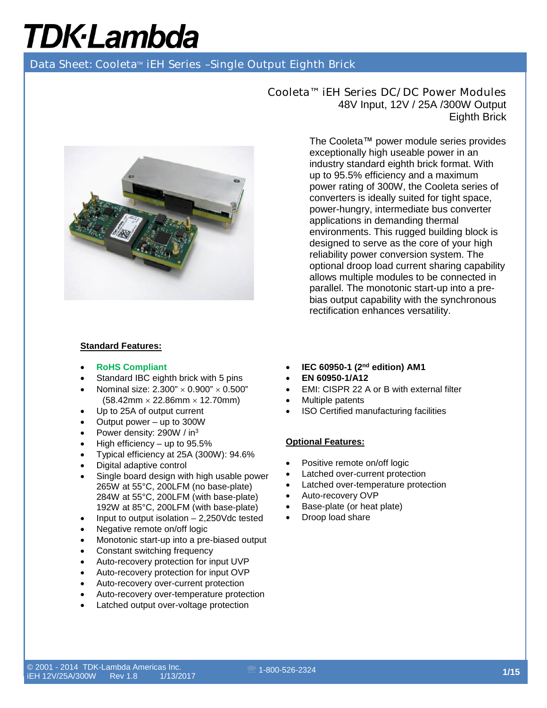Data Sheet: Cooleta<sup>™</sup> iEH Series -Single Output Eighth Brick



#### **Standard Features:**

- **RoHS Compliant**
- Standard IBC eighth brick with 5 pins
- Nominal size:  $2.300'' \times 0.900'' \times 0.500''$  $(58.42 \text{mm} \times 22.86 \text{mm} \times 12.70 \text{mm})$
- Up to 25A of output current
- Output power  $-$  up to 300W
- Power density: 290W / in<sup>3</sup>
- High efficiency  $-$  up to 95.5%
- Typical efficiency at 25A (300W): 94.6%
- Digital adaptive control
- Single board design with high usable power 265W at 55°C, 200LFM (no base-plate) 284W at 55°C, 200LFM (with base-plate) 192W at 85°C, 200LFM (with base-plate)
- Input to output isolation  $-2,250$  Vdc tested
- Negative remote on/off logic
- Monotonic start-up into a pre-biased output
- Constant switching frequency
- Auto-recovery protection for input UVP
- Auto-recovery protection for input OVP
- Auto-recovery over-current protection
- Auto-recovery over-temperature protection
- Latched output over-voltage protection

Cooleta™ iEH Series DC/DC Power Modules 48V Input, 12V / 25A /300W Output Eighth Brick

> The Cooleta™ power module series provides exceptionally high useable power in an industry standard eighth brick format. With up to 95.5% efficiency and a maximum power rating of 300W, the Cooleta series of converters is ideally suited for tight space, power-hungry, intermediate bus converter applications in demanding thermal environments. This rugged building block is designed to serve as the core of your high reliability power conversion system. The optional droop load current sharing capability allows multiple modules to be connected in parallel. The monotonic start-up into a prebias output capability with the synchronous rectification enhances versatility.

- **IEC 60950-1 (2nd edition) AM1**
- **EN 60950-1/A12**
- EMI: CISPR 22 A or B with external filter
- Multiple patents
- ISO Certified manufacturing facilities

#### **Optional Features:**

- Positive remote on/off logic
- Latched over-current protection
- Latched over-temperature protection
- Auto-recovery OVP
- Base-plate (or heat plate)
- Droop load share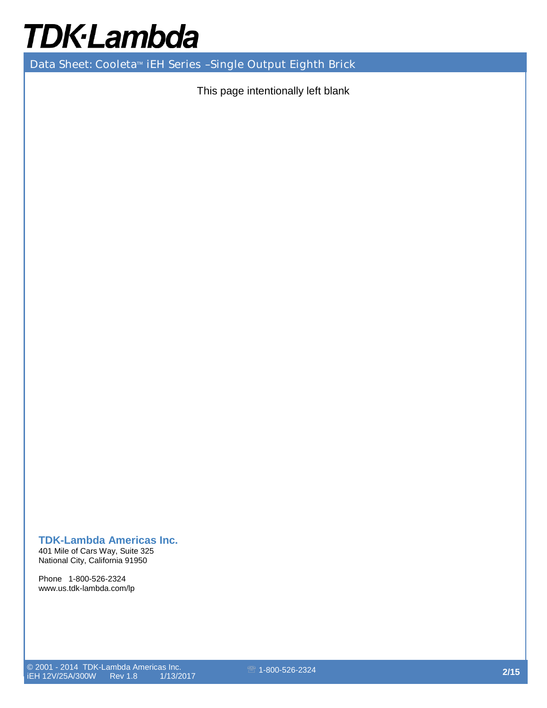Data Sheet: Cooleta<sup>™</sup> iEH Series -Single Output Eighth Brick

This page intentionally left blank

### **TDK-Lambda Americas Inc.**

401 Mile of Cars Way, Suite 325 National City, California 91950

Phone 1-800-526-2324 www.us.tdk-lambda.com/lp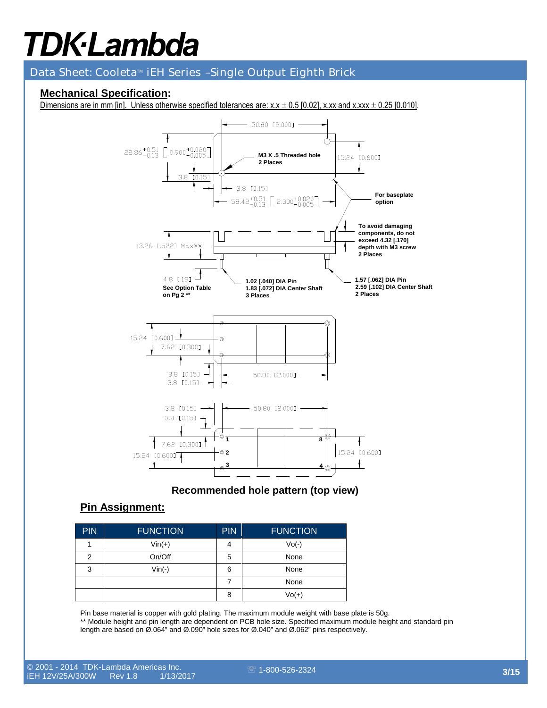### Data Sheet: Cooleta<sup>™</sup> iEH Series -Single Output Eighth Brick

### **Mechanical Specification:**

Dimensions are in mm [in]. Unless otherwise specified tolerances are:  $x.x \pm 0.5$  [0.02], x.xx and x.xxx  $\pm$  0.25 [0.010].



**Recommended hole pattern (top view)**

### **Pin Assignment:**

| PIN | <b>FUNCTION</b> | <b>PIN</b> | <b>FUNCTION</b> |
|-----|-----------------|------------|-----------------|
|     | $Vin(+)$        | 4          | $Vo(-)$         |
| 2   | On/Off          | 5          | None            |
| 3   | $Vin(-)$        | 6          | None            |
|     |                 | 7          | None            |
|     |                 | 8          | $Vol(+)$        |

Pin base material is copper with gold plating. The maximum module weight with base plate is 50g. \*\* Module height and pin length are dependent on PCB hole size. Specified maximum module height and standard pin length are based on Ø.064" and Ø.090" hole sizes for Ø.040" and Ø.062" pins respectively.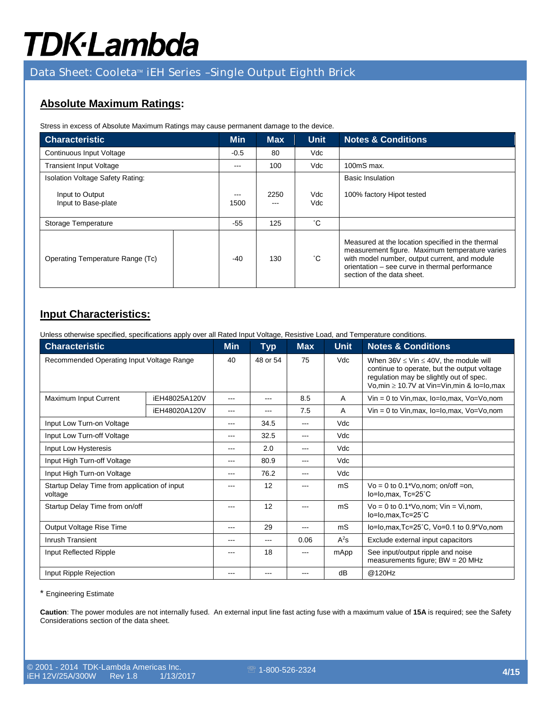### Data Sheet: Cooleta<sup>™</sup> iEH Series -Single Output Eighth Brick

### **Absolute Maximum Ratings:**

Stress in excess of Absolute Maximum Ratings may cause permanent damage to the device.

| <b>Characteristic</b>                   |  | <b>Min</b>    | <b>Max</b> | <b>Unit</b>  | <b>Notes &amp; Conditions</b>                                                                                                                                                                                                        |
|-----------------------------------------|--|---------------|------------|--------------|--------------------------------------------------------------------------------------------------------------------------------------------------------------------------------------------------------------------------------------|
| Continuous Input Voltage                |  | $-0.5$        | 80         | Vdc          |                                                                                                                                                                                                                                      |
| <b>Transient Input Voltage</b>          |  | $---$         | 100        | Vdc          | $100ms$ max.                                                                                                                                                                                                                         |
| <b>Isolation Voltage Safety Rating:</b> |  |               |            |              | <b>Basic Insulation</b>                                                                                                                                                                                                              |
| Input to Output<br>Input to Base-plate  |  | $---$<br>1500 | 2250       | Vdc<br>Vdc   | 100% factory Hipot tested                                                                                                                                                                                                            |
| Storage Temperature                     |  | $-55$         | 125        | °С           |                                                                                                                                                                                                                                      |
| Operating Temperature Range (Tc)        |  | $-40$         | 130        | $^{\circ}$ C | Measured at the location specified in the thermal<br>measurement figure. Maximum temperature varies<br>with model number, output current, and module<br>orientation - see curve in thermal performance<br>section of the data sheet. |

### **Input Characteristics:**

Unless otherwise specified, specifications apply over all Rated Input Voltage, Resistive Load, and Temperature conditions.

| <b>Characteristic</b>                                   | <b>Min</b>    | <b>Typ</b> | <b>Max</b>             | <b>Unit</b>            | <b>Notes &amp; Conditions</b>           |                                                                                                                                                                                                 |
|---------------------------------------------------------|---------------|------------|------------------------|------------------------|-----------------------------------------|-------------------------------------------------------------------------------------------------------------------------------------------------------------------------------------------------|
| Recommended Operating Input Voltage Range               |               | 40         | 48 or 54               | 75                     | Vdc                                     | When $36V \leq$ Vin $\leq 40V$ , the module will<br>continue to operate, but the output voltage<br>regulation may be slightly out of spec.<br>Vo, min $\geq 10.7V$ at Vin=Vin, min & lo=lo, max |
| Maximum Input Current<br>iEH48025A120V                  |               | ---        |                        | 8.5                    | A                                       | $V$ in = 0 to $V$ in, max, lo=lo, max, $V$ o= $V$ o, nom                                                                                                                                        |
|                                                         | iEH48020A120V | ---        | ---                    | 7.5                    | A                                       | $V$ in = 0 to $V$ in, max, $Io=Io$ , max, $Vo=Vo$ , nom                                                                                                                                         |
| Input Low Turn-on Voltage                               | ---           | 34.5       | $---$                  | Vdc                    |                                         |                                                                                                                                                                                                 |
| Input Low Turn-off Voltage                              | ---           | 32.5       | $---$                  | Vdc                    |                                         |                                                                                                                                                                                                 |
| Input Low Hysteresis                                    | ---           | 2.0        | $\qquad \qquad \cdots$ | Vdc                    |                                         |                                                                                                                                                                                                 |
| Input High Turn-off Voltage                             | ---           | 80.9       | $\qquad \qquad \cdots$ | Vdc                    |                                         |                                                                                                                                                                                                 |
| Input High Turn-on Voltage                              |               | ---        | 76.2                   | $\qquad \qquad \cdots$ | Vdc                                     |                                                                                                                                                                                                 |
| Startup Delay Time from application of input<br>voltage |               | ---        | 12                     | ---                    | mS                                      | $Vo = 0$ to 0.1*Vo, nom; on/off =on,<br>lo=lo,max, Tc=25°C                                                                                                                                      |
| Startup Delay Time from on/off                          |               | ---        | 12                     |                        | mS                                      | $Vo = 0$ to 0.1*Vo, nom; $ Vin = Vi$ , nom,<br>lo=lo,max,Tc=25°C                                                                                                                                |
| Output Voltage Rise Time                                | ---           | 29         | $---$                  | mS                     | lo=lo,max,Tc=25°C, Vo=0.1 to 0.9*Vo,nom |                                                                                                                                                                                                 |
| Inrush Transient                                        | ---           | ---        | 0.06                   | $A^2s$                 | Exclude external input capacitors       |                                                                                                                                                                                                 |
| Input Reflected Ripple                                  |               | ---        | 18                     | $- - -$                | mApp                                    | See input/output ripple and noise<br>measurements figure; $BW = 20 MHz$                                                                                                                         |
| Input Ripple Rejection                                  | ---           | ---        | $- - -$                | dB                     | @120Hz                                  |                                                                                                                                                                                                 |

\* Engineering Estimate

**Caution**: The power modules are not internally fused. An external input line fast acting fuse with a maximum value of **15A** is required; see the Safety Considerations section of the data sheet.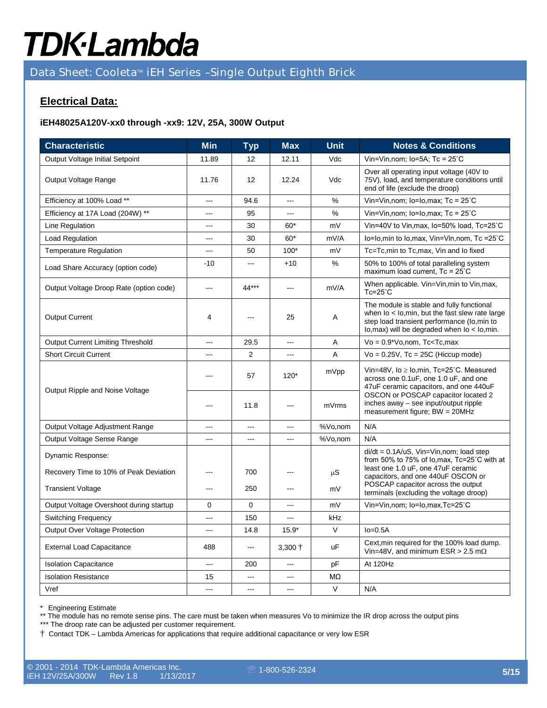### Data Sheet: Cooleta<sup>™</sup> iEH Series -Single Output Eighth Brick

### **Electrical Data:**

#### **iEH48025A120V-xx0 through -xx9: 12V, 25A, 300W Output**

| <b>Characteristic</b>                   | <b>Min</b> | <b>Typ</b>  | <b>Max</b>      | <b>Unit</b> | <b>Notes &amp; Conditions</b>                                                                                                                                                                                                                           |
|-----------------------------------------|------------|-------------|-----------------|-------------|---------------------------------------------------------------------------------------------------------------------------------------------------------------------------------------------------------------------------------------------------------|
| Output Voltage Initial Setpoint         | 11.89      | 12          | 12.11           | Vdc         | Vin=Vin, nom; $lo=5A$ ; Tc = $25^{\circ}$ C                                                                                                                                                                                                             |
| Output Voltage Range                    | 11.76      | 12          | 12.24           | Vdc         | Over all operating input voltage (40V to<br>75V), load, and temperature conditions until<br>end of life (exclude the droop)                                                                                                                             |
| Efficiency at 100% Load **              | ---        | 94.6        | <u>.</u>        | %           | Vin=Vin,nom; lo=lo,max; Tc = 25°C                                                                                                                                                                                                                       |
| Efficiency at 17A Load (204W) **        | ---        | 95          |                 | %           | Vin=Vin, nom; $lo = Io, max$ ; Tc = $25^{\circ}$ C                                                                                                                                                                                                      |
| Line Regulation                         | ---        | 30          | 60*             | mV          | Vin=40V to Vin, max, Io=50% load, Tc=25°C                                                                                                                                                                                                               |
| Load Regulation                         | ---        | 30          | $60*$           | mV/A        | lo=lo, min to lo, max, Vin=Vin, nom, Tc = 25°C                                                                                                                                                                                                          |
| <b>Temperature Regulation</b>           | ---        | 50          | $100*$          | mV          | Tc=Tc,min to Tc,max, Vin and Io fixed                                                                                                                                                                                                                   |
| Load Share Accuracy (option code)       | $-10$      | ---         | $+10$           | %           | 50% to 100% of total paralleling system<br>maximum load current, Tc = 25°C                                                                                                                                                                              |
| Output Voltage Droop Rate (option code) | $\sim$     | 44***       | ---             | mV/A        | When applicable. Vin=Vin, min to Vin, max,<br>$Tc=25^\circ C$                                                                                                                                                                                           |
| <b>Output Current</b>                   | 4          | ---         | 25              | A           | The module is stable and fully functional<br>when $I$ o < $I$ o, min, but the fast slew rate large<br>step load transient performance (lo,min to<br>$\log_{10}(n)$ will be degraded when $\log_{10}(n)$ lo, min.                                        |
| Output Current Limiting Threshold       | ---        | 29.5        | <u>.</u>        | Α           | $Vo = 0.9*Vo, nom, Tc < Tc, max$                                                                                                                                                                                                                        |
| <b>Short Circuit Current</b>            | ---        | 2           | ---             | A           | $Vo = 0.25V$ , Tc = 25C (Hiccup mode)                                                                                                                                                                                                                   |
|                                         |            | 57          | $120*$          | mVpp        | Vin=48V, $I_0 \geq I_0$ , min, Tc=25°C. Measured<br>across one 0.1uF, one 1.0 uF, and one<br>47uF ceramic capacitors, and one 440uF<br>OSCON or POSCAP capacitor located 2<br>inches away - see input/output ripple<br>measurement figure; $BW = 20MHz$ |
| Output Ripple and Noise Voltage         |            | 11.8        | ---             | mVrms       |                                                                                                                                                                                                                                                         |
| Output Voltage Adjustment Range         | ---        | ---         | ---             | %Vo,nom     | N/A                                                                                                                                                                                                                                                     |
| Output Voltage Sense Range              | ---        | ---         | <u>.</u>        | %Vo,nom     | N/A                                                                                                                                                                                                                                                     |
| Dynamic Response:                       |            |             |                 |             | $di/dt = 0.1A/uS$ , Vin=Vin, nom; load step                                                                                                                                                                                                             |
| Recovery Time to 10% of Peak Deviation  | ---        | 700         |                 | $\mu S$     | from 50% to 75% of lo, max, Tc=25°C with at<br>least one 1.0 uF, one 47uF ceramic<br>capacitors, and one 440uF OSCON or                                                                                                                                 |
| <b>Transient Voltage</b>                |            | 250         |                 | mV          | POSCAP capacitor across the output<br>terminals (excluding the voltage droop)                                                                                                                                                                           |
| Output Voltage Overshoot during startup | 0          | $\mathbf 0$ | ---             | mV          | Vin=Vin,nom; lo=lo,max,Tc=25°C                                                                                                                                                                                                                          |
| <b>Switching Frequency</b>              | ---        | 150         |                 | kHz         |                                                                                                                                                                                                                                                         |
| Output Over Voltage Protection          |            | 14.8        | $15.9*$         | $\vee$      | $Io=0.5A$                                                                                                                                                                                                                                               |
| <b>External Load Capacitance</b>        | 488        | <u></u>     | $3,300 \dagger$ | uF          | Cext, min required for the 100% load dump.<br>Vin=48V, and minimum ESR > 2.5 m $\Omega$                                                                                                                                                                 |
| <b>Isolation Capacitance</b>            | ---        | 200         |                 | pF          | At 120Hz                                                                                                                                                                                                                                                |
| <b>Isolation Resistance</b>             | 15         |             | ---             | MΩ          |                                                                                                                                                                                                                                                         |
| Vref                                    | ---        | $\sim$      | $-$ - $-$       | V           | N/A                                                                                                                                                                                                                                                     |

\* Engineering Estimate

\*\* The module has no remote sense pins. The care must be taken when measures Vo to minimize the IR drop across the output pins

\*\*\* The droop rate can be adjusted per customer requirement.

† Contact TDK – Lambda Americas for applications that require additional capacitance or very low ESR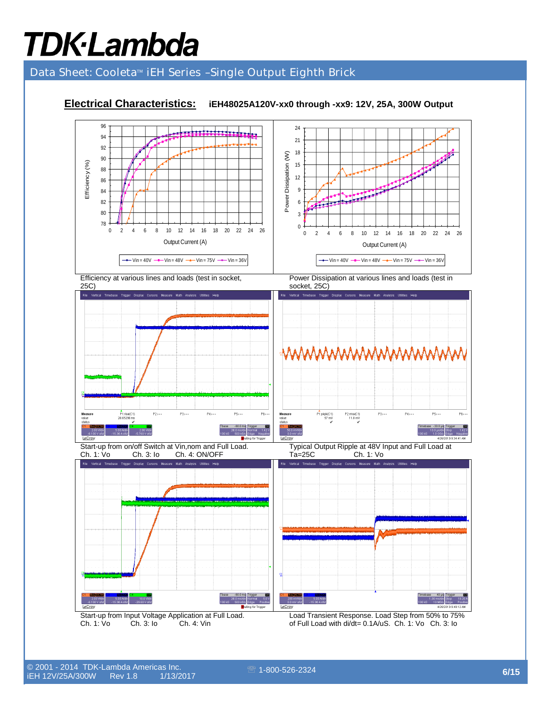# Data Sheet: Cooleta™ iEH Series -Single Output Eighth Brick

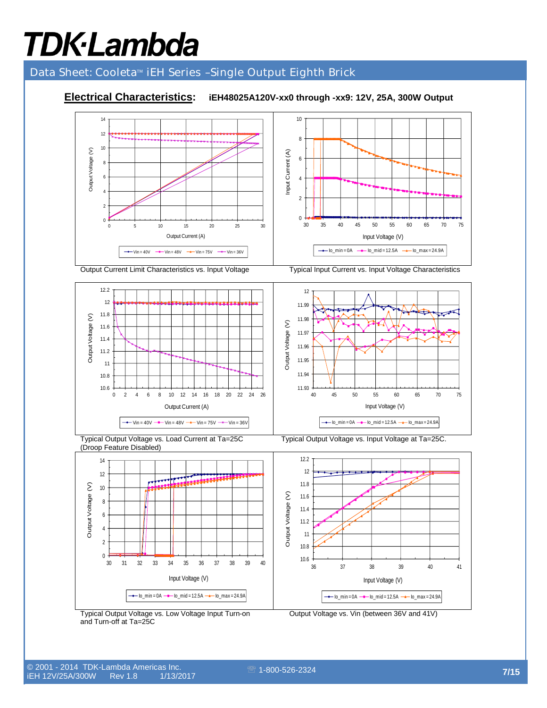# Data Sheet: Cooleta<sup>™</sup> iEH Series -Single Output Eighth Brick

**Electrical Characteristics: iEH48025A120V-xx0 through -xx9: 12V, 25A, 300W Output** 







Output Current Limit Characteristics vs. Input Voltage Typical Input Current vs. Input Voltage Characteristics



Typical Output Voltage vs. Load Current at Ta=25C (Droop Feature Disabled)

Typical Output Voltage vs. Input Voltage at Ta=25C.



Typical Output Voltage vs. Low Voltage Input Turn-on and Turn-off at Ta=25C

Output Voltage vs. Vin (between 36V and 41V)

Output Voltage (V)

Output Voltage

 $\hat{\epsilon}$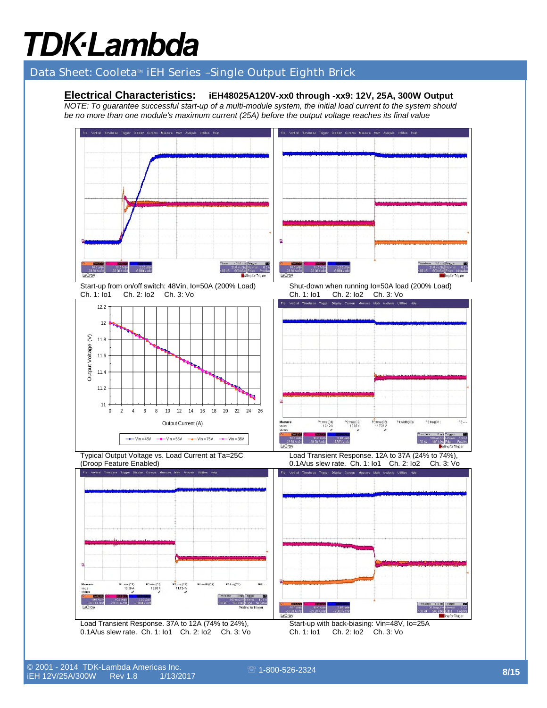# Data Sheet: Cooleta<sup>™</sup> iEH Series -Single Output Eighth Brick

### **Electrical Characteristics: iEH48025A120V-xx0 through -xx9: 12V, 25A, 300W Output**

*NOTE: To guarantee successful start-up of a multi-module system, the initial load current to the system should be no more than one module's maximum current (25A) before the output voltage reaches its final value*

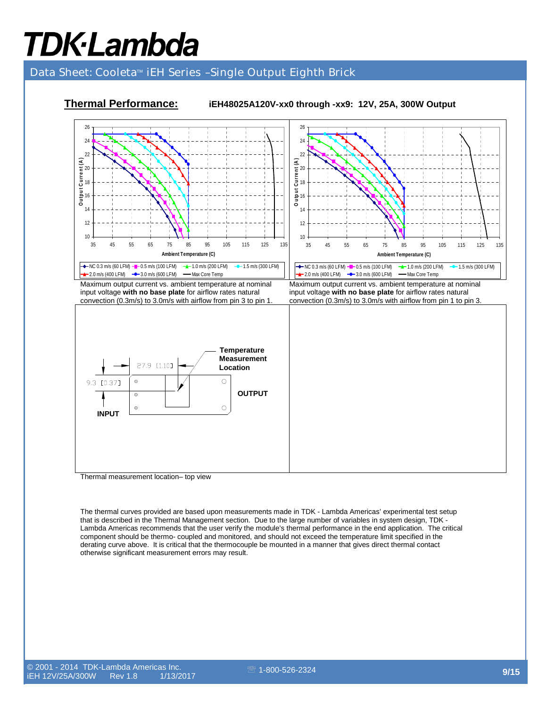# Data Sheet: Cooleta<sup>™</sup> iEH Series -Single Output Eighth Brick



### **Thermal Performance: iEH48025A120V-xx0 through -xx9: 12V, 25A, 300W Output**

Thermal measurement location– top view

The thermal curves provided are based upon measurements made in TDK - Lambda Americas' experimental test setup that is described in the Thermal Management section. Due to the large number of variables in system design, TDK - Lambda Americas recommends that the user verify the module's thermal performance in the end application. The critical component should be thermo- coupled and monitored, and should not exceed the temperature limit specified in the derating curve above. It is critical that the thermocouple be mounted in a manner that gives direct thermal contact otherwise significant measurement errors may result.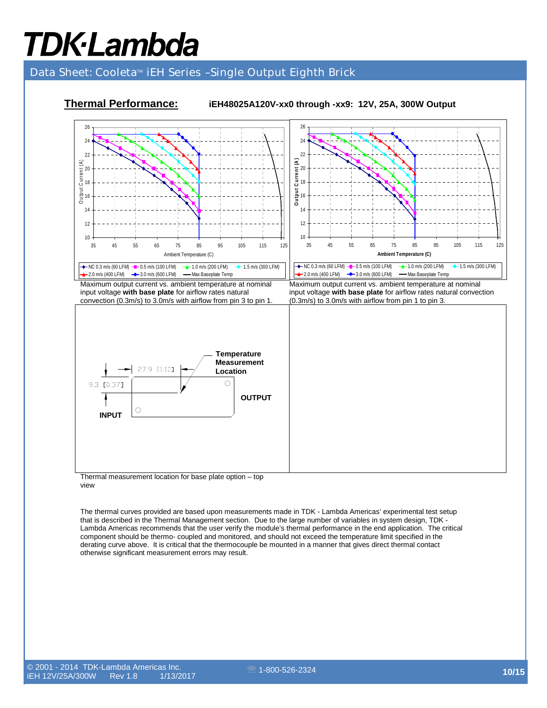# Data Sheet: Cooleta<sup>™</sup> iEH Series -Single Output Eighth Brick



### **Thermal Performance: iEH48025A120V-xx0 through -xx9: 12V, 25A, 300W Output**

Thermal measurement location for base plate option – top view

The thermal curves provided are based upon measurements made in TDK - Lambda Americas' experimental test setup that is described in the Thermal Management section. Due to the large number of variables in system design, TDK - Lambda Americas recommends that the user verify the module's thermal performance in the end application. The critical component should be thermo- coupled and monitored, and should not exceed the temperature limit specified in the derating curve above. It is critical that the thermocouple be mounted in a manner that gives direct thermal contact otherwise significant measurement errors may result.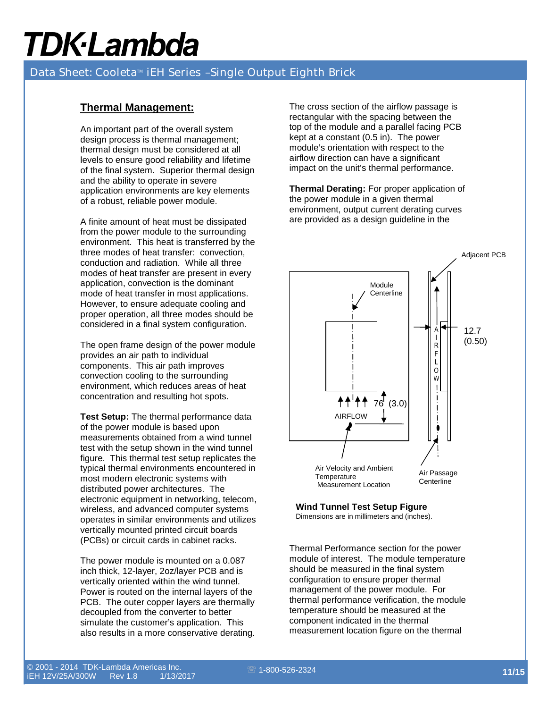## Data Sheet: Cooleta<sup>™</sup> iEH Series -Single Output Eighth Brick

### **Thermal Management:**

An important part of the overall system design process is thermal management; thermal design must be considered at all levels to ensure good reliability and lifetime of the final system. Superior thermal design and the ability to operate in severe application environments are key elements of a robust, reliable power module.

A finite amount of heat must be dissipated from the power module to the surrounding environment. This heat is transferred by the three modes of heat transfer: convection, conduction and radiation. While all three modes of heat transfer are present in every application, convection is the dominant mode of heat transfer in most applications. However, to ensure adequate cooling and proper operation, all three modes should be considered in a final system configuration.

The open frame design of the power module provides an air path to individual components. This air path improves convection cooling to the surrounding environment, which reduces areas of heat concentration and resulting hot spots.

**Test Setup:** The thermal performance data of the power module is based upon measurements obtained from a wind tunnel test with the setup shown in the wind tunnel figure. This thermal test setup replicates the typical thermal environments encountered in most modern electronic systems with distributed power architectures. The electronic equipment in networking, telecom, wireless, and advanced computer systems operates in similar environments and utilizes vertically mounted printed circuit boards (PCBs) or circuit cards in cabinet racks.

The power module is mounted on a 0.087 inch thick, 12-layer, 2oz/layer PCB and is vertically oriented within the wind tunnel. Power is routed on the internal layers of the PCB. The outer copper layers are thermally decoupled from the converter to better simulate the customer's application. This also results in a more conservative derating.

The cross section of the airflow passage is rectangular with the spacing between the top of the module and a parallel facing PCB kept at a constant (0.5 in). The power module's orientation with respect to the airflow direction can have a significant impact on the unit's thermal performance.

**Thermal Derating:** For proper application of the power module in a given thermal environment, output current derating curves are provided as a design guideline in the



### **Wind Tunnel Test Setup Figure**

Dimensions are in millimeters and (inches).

Thermal Performance section for the power module of interest. The module temperature should be measured in the final system configuration to ensure proper thermal management of the power module. For thermal performance verification, the module temperature should be measured at the component indicated in the thermal measurement location figure on the thermal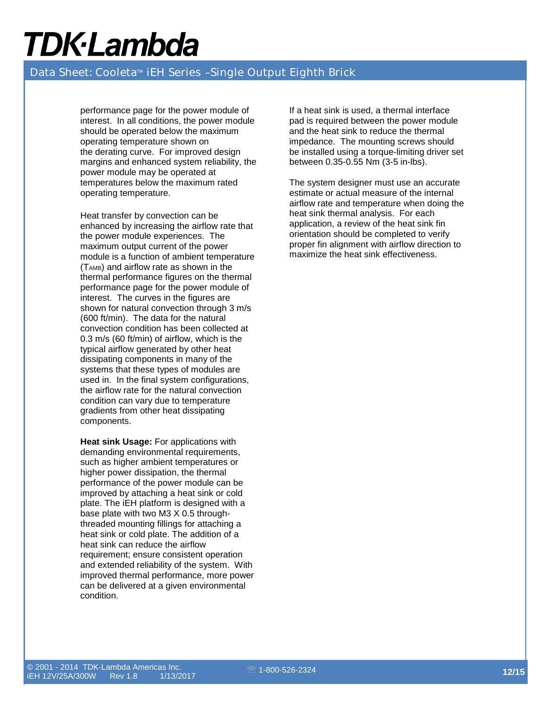### Data Sheet: Cooleta™ iEH Series -Single Output Eighth Brick

performance page for the power module of interest. In all conditions, the power module should be operated below the maximum operating temperature shown on the derating curve. For improved design margins and enhanced system reliability, the power module may be operated at temperatures below the maximum rated operating temperature.

Heat transfer by convection can be enhanced by increasing the airflow rate that the power module experiences. The maximum output current of the power module is a function of ambient temperature  $(T<sub>AMB</sub>)$  and airflow rate as shown in the thermal performance figures on the thermal performance page for the power module of interest. The curves in the figures are shown for natural convection through 3 m/s (600 ft/min). The data for the natural convection condition has been collected at 0.3 m/s (60 ft/min) of airflow, which is the typical airflow generated by other heat dissipating components in many of the systems that these types of modules are used in. In the final system configurations, the airflow rate for the natural convection condition can vary due to temperature gradients from other heat dissipating components.

**Heat sink Usage:** For applications with demanding environmental requirements, such as higher ambient temperatures or higher power dissipation, the thermal performance of the power module can be improved by attaching a heat sink or cold plate. The iEH platform is designed with a base plate with two M3 X 0.5 throughthreaded mounting fillings for attaching a heat sink or cold plate. The addition of a heat sink can reduce the airflow requirement; ensure consistent operation and extended reliability of the system. With improved thermal performance, more power can be delivered at a given environmental condition.

If a heat sink is used, a thermal interface pad is required between the power module and the heat sink to reduce the thermal impedance. The mounting screws should be installed using a torque-limiting driver set between 0.35-0.55 Nm (3-5 in-lbs).

The system designer must use an accurate estimate or actual measure of the internal airflow rate and temperature when doing the heat sink thermal analysis. For each application, a review of the heat sink fin orientation should be completed to verify proper fin alignment with airflow direction to maximize the heat sink effectiveness.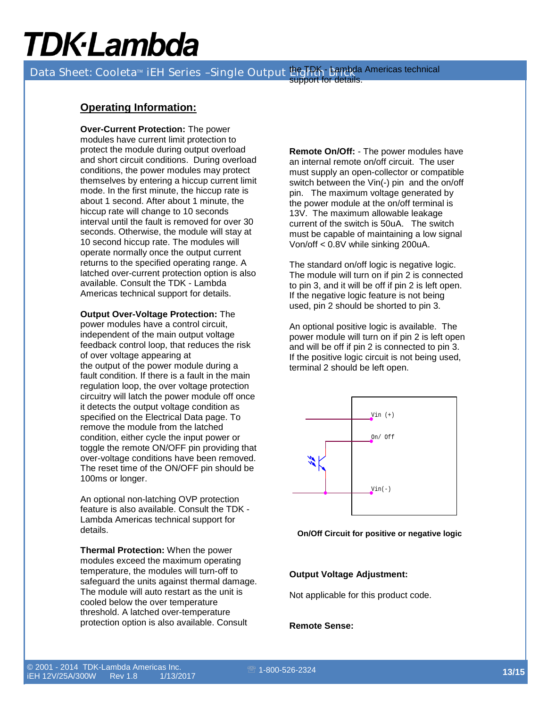Data Sheet: Cooleta™ iEH Series -Single Output Pro RK Bambda Americas technical support for details.

### **Operating Information:**

**Over-Current Protection:** The power modules have current limit protection to protect the module during output overload and short circuit conditions. During overload conditions, the power modules may protect themselves by entering a hiccup current limit mode. In the first minute, the hiccup rate is about 1 second. After about 1 minute, the hiccup rate will change to 10 seconds interval until the fault is removed for over 30 seconds. Otherwise, the module will stay at 10 second hiccup rate. The modules will operate normally once the output current returns to the specified operating range. A latched over-current protection option is also available. Consult the TDK - Lambda Americas technical support for details.

**Output Over-Voltage Protection:** The power modules have a control circuit, independent of the main output voltage feedback control loop, that reduces the risk of over voltage appearing at the output of the power module during a fault condition. If there is a fault in the main regulation loop, the over voltage protection circuitry will latch the power module off once it detects the output voltage condition as specified on the Electrical Data page. To remove the module from the latched condition, either cycle the input power or toggle the remote ON/OFF pin providing that over-voltage conditions have been removed. The reset time of the ON/OFF pin should be 100ms or longer.

An optional non-latching OVP protection feature is also available. Consult the TDK - Lambda Americas technical support for details.

**Thermal Protection:** When the power modules exceed the maximum operating temperature, the modules will turn-off to safeguard the units against thermal damage. The module will auto restart as the unit is cooled below the over temperature threshold. A latched over-temperature protection option is also available. Consult

**Remote On/Off:** - The power modules have an internal remote on/off circuit. The user must supply an open-collector or compatible switch between the Vin(-) pin and the on/off pin. The maximum voltage generated by the power module at the on/off terminal is 13V. The maximum allowable leakage current of the switch is 50uA. The switch must be capable of maintaining a low signal Von/off < 0.8V while sinking 200uA.

The standard on/off logic is negative logic. The module will turn on if pin 2 is connected to pin 3, and it will be off if pin 2 is left open. If the negative logic feature is not being used, pin 2 should be shorted to pin 3.

An optional positive logic is available. The power module will turn on if pin 2 is left open and will be off if pin 2 is connected to pin 3. If the positive logic circuit is not being used, terminal 2 should be left open.



**On/Off Circuit for positive or negative logic** 

#### **Output Voltage Adjustment:**

Not applicable for this product code.

#### **Remote Sense:**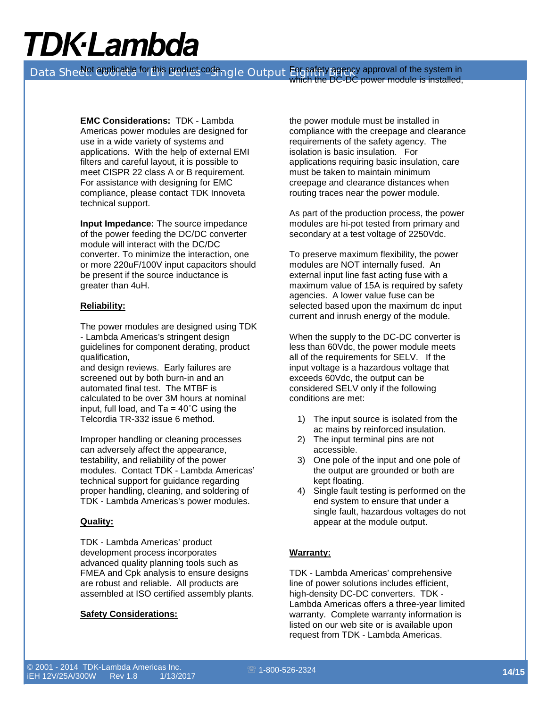Data Sheelet epplicable for this product codengle Output Engency approval of the system in which the DC-DC power module is installed,

> **EMC Considerations:** TDK - Lambda Americas power modules are designed for use in a wide variety of systems and applications. With the help of external EMI filters and careful layout, it is possible to meet CISPR 22 class A or B requirement. For assistance with designing for EMC compliance, please contact TDK Innoveta technical support.

**Input Impedance:** The source impedance of the power feeding the DC/DC converter module will interact with the DC/DC converter. To minimize the interaction, one or more 220uF/100V input capacitors should be present if the source inductance is greater than 4uH.

#### **Reliability:**

The power modules are designed using TDK - Lambda Americas's stringent design guidelines for component derating, product qualification,

and design reviews. Early failures are screened out by both burn-in and an automated final test. The MTBF is calculated to be over 3M hours at nominal input, full load, and  $Ta = 40^{\circ}C$  using the Telcordia TR-332 issue 6 method.

Improper handling or cleaning processes can adversely affect the appearance, testability, and reliability of the power modules. Contact TDK - Lambda Americas' technical support for guidance regarding proper handling, cleaning, and soldering of TDK - Lambda Americas's power modules.

#### **Quality:**

TDK - Lambda Americas' product development process incorporates advanced quality planning tools such as FMEA and Cpk analysis to ensure designs are robust and reliable. All products are assembled at ISO certified assembly plants.

#### **Safety Considerations:**

the power module must be installed in compliance with the creepage and clearance requirements of the safety agency. The isolation is basic insulation. For applications requiring basic insulation, care must be taken to maintain minimum creepage and clearance distances when routing traces near the power module.

As part of the production process, the power modules are hi-pot tested from primary and secondary at a test voltage of 2250Vdc.

To preserve maximum flexibility, the power modules are NOT internally fused. An external input line fast acting fuse with a maximum value of 15A is required by safety agencies. A lower value fuse can be selected based upon the maximum dc input current and inrush energy of the module.

When the supply to the DC-DC converter is less than 60Vdc, the power module meets all of the requirements for SELV. If the input voltage is a hazardous voltage that exceeds 60Vdc, the output can be considered SELV only if the following conditions are met:

- 1) The input source is isolated from the ac mains by reinforced insulation.
- 2) The input terminal pins are not accessible.
- 3) One pole of the input and one pole of the output are grounded or both are kept floating.
- 4) Single fault testing is performed on the end system to ensure that under a single fault, hazardous voltages do not appear at the module output.

### **Warranty:**

TDK - Lambda Americas' comprehensive line of power solutions includes efficient, high-density DC-DC converters. TDK - Lambda Americas offers a three-year limited warranty. Complete warranty information is listed on our web site or is available upon request from TDK - Lambda Americas.